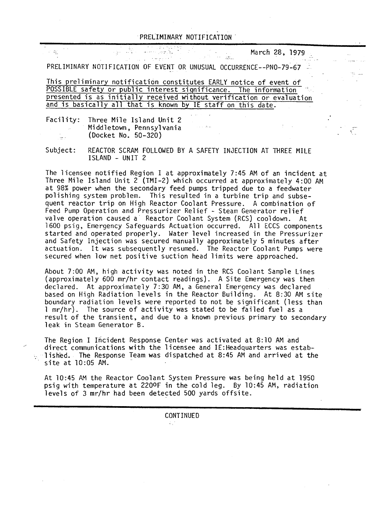## PRELIMINARY NOTIFICATION

an Salah<br>Kabupatèn

March 28, 1979

PRELIMINARY NOTIFICATION OF EVENT OR UNUSUAL OCCURRENCE--PNO-79-67

ြက် ကြက်ဖြစ်<br>မြောက် ကျော်စွာ

an an Compañ

This preliminary notification constitutes EARLY notice of event of POSSIBLE safety or public interest significance. The information presented is as initially received without verification or evaluation and is basically all that is known by IE staff on this date.

Facility: Three Mile Island Unit 2 Middletown, Pennsylvania (Docket No. 50-320) Ĵш.

그리 가다

子提

Subject: REACTOR SCRAM FOLLOWED BY A SAFETY INJECTION AT THREE MILE ISLAND - UNIT 2

The licensee notified Region I at approximately 7:45 AM of an incident at Three Mile Island Unit 2 (TMI-2) which occurred at approximately 4:00 AM at 98% power when the secondary feed pumps tripped due to a feedwater polishing system problem. This resulted in a turbine trip and subsequent reactor trip on High Reactor Coolant Pressure. A combination of Feed Pump Operation and Pressurizer Relief - Steam Generator relief valve operation caused a Reactor Coolant System (RCS) cooldown. At 1600 psig, Emergency Safeguards Actuation occurred. All ECCS components started and operated properly. Water level increased in the Pressurizer and Safety Injection was secured manually approximately 5 minutes after actuation. It was subsequently resumed. The Reactor Coolant Pumps were secured when low net positive suction head limits were approached.

About 7:00 AM, high activity was noted in the RCS Coolant Sample Lines (approximately 600 mr/hr contact readings). A Site Emergency was then declared. At approximately 7:30 AM, a General Emergency was declared based on High Radiation levels in the Reactor Building. At 8:30 AM site boundary radiation levels were reported to not be significant (less than 1 mr/hr). The source of activity was stated to be failed fuel as a result of the transient, and due to a known previous primary to secondary leak in Steam Generator B.

The Region I Incident Response Center was activated at 8:10 AM and direct communications with the licensee and IE:Headquarters was estab-  $\sim$  1 ished. The Response Team was dispatched at 8:45 AM and arrived at the site at 10:05 AM.

At 10:45 AM the Reactor Coolant System Pressure was being held at 1950 psig with temperature at 2200F in the cold leg. By 10:45 AM, radiation levels of 3 mr/hr had been detected 500 yards offsite.

CONTINUED

 $\Delta\chi^2$